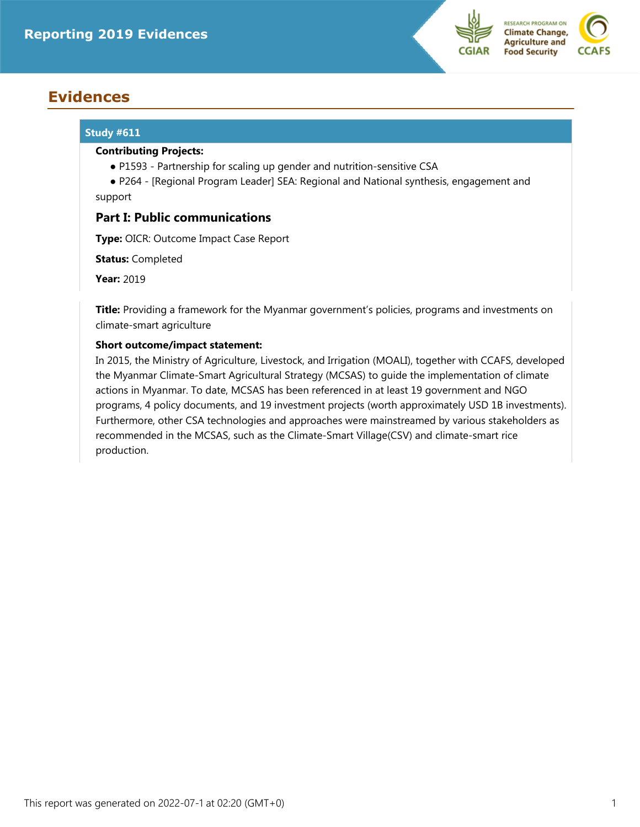

# **Evidences**

# **Study #611**

#### **Contributing Projects:**

- P1593 Partnership for scaling up gender and nutrition-sensitive CSA
- ● P264 [Regional Program Leader] SEA: Regional and National synthesis, engagement and support

# **Part I: Public communications**

**Type:** OICR: Outcome Impact Case Report

**Status:** Completed

**Year:** 2019

**Title:** Providing a framework for the Myanmar government's policies, programs and investments on climate-smart agriculture

# **Short outcome/impact statement:**

In 2015, the Ministry of Agriculture, Livestock, and Irrigation (MOALI), together with CCAFS, developed the Myanmar Climate-Smart Agricultural Strategy (MCSAS) to guide the implementation of climate actions in Myanmar. To date, MCSAS has been referenced in at least 19 government and NGO programs, 4 policy documents, and 19 investment projects (worth approximately USD 1B investments). Furthermore, other CSA technologies and approaches were mainstreamed by various stakeholders as recommended in the MCSAS, such as the Climate-Smart Village(CSV) and climate-smart rice production.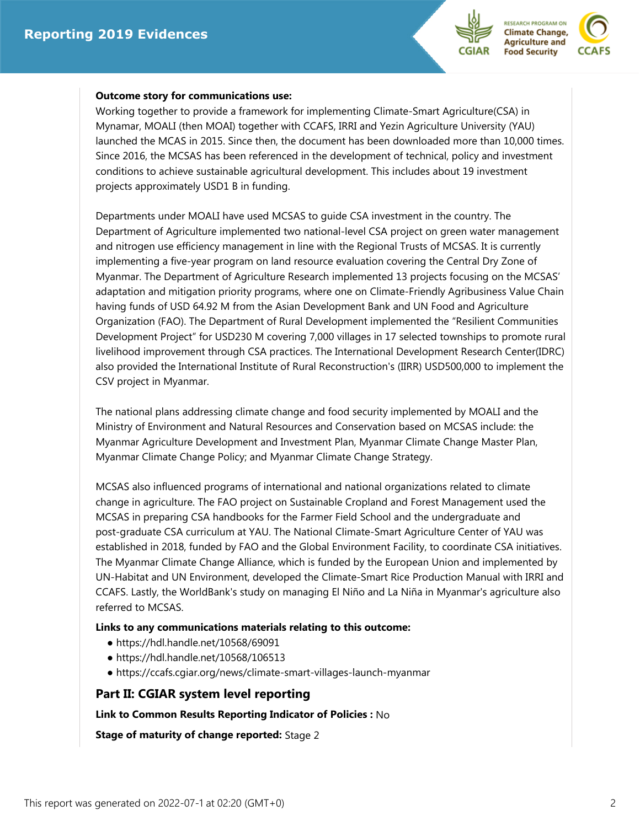



#### **Outcome story for communications use:**

Working together to provide a framework for implementing Climate-Smart Agriculture(CSA) in Mynamar, MOALI (then MOAI) together with CCAFS, IRRI and Yezin Agriculture University (YAU) launched the MCAS in 2015. Since then, the document has been downloaded more than 10,000 times. Since 2016, the MCSAS has been referenced in the development of technical, policy and investment conditions to achieve sustainable agricultural development. This includes about 19 investment projects approximately USD1 B in funding.

Departments under MOALI have used MCSAS to guide CSA investment in the country. The Department of Agriculture implemented two national-level CSA project on green water management and nitrogen use efficiency management in line with the Regional Trusts of MCSAS. It is currently implementing a five-year program on land resource evaluation covering the Central Dry Zone of Myanmar. The Department of Agriculture Research implemented 13 projects focusing on the MCSAS' adaptation and mitigation priority programs, where one on Climate-Friendly Agribusiness Value Chain having funds of USD 64.92 M from the Asian Development Bank and UN Food and Agriculture Organization (FAO). The Department of Rural Development implemented the "Resilient Communities Development Project" for USD230 M covering 7,000 villages in 17 selected townships to promote rural livelihood improvement through CSA practices. The International Development Research Center(IDRC) also provided the International Institute of Rural Reconstruction's (IIRR) USD500,000 to implement the CSV project in Myanmar.

The national plans addressing climate change and food security implemented by MOALI and the Ministry of Environment and Natural Resources and Conservation based on MCSAS include: the Myanmar Agriculture Development and Investment Plan, Myanmar Climate Change Master Plan, Myanmar Climate Change Policy; and Myanmar Climate Change Strategy.

MCSAS also influenced programs of international and national organizations related to climate change in agriculture. The FAO project on Sustainable Cropland and Forest Management used the MCSAS in preparing CSA handbooks for the Farmer Field School and the undergraduate and post-graduate CSA curriculum at YAU. The National Climate-Smart Agriculture Center of YAU was established in 2018, funded by FAO and the Global Environment Facility, to coordinate CSA initiatives. The Myanmar Climate Change Alliance, which is funded by the European Union and implemented by UN-Habitat and UN Environment, developed the Climate-Smart Rice Production Manual with IRRI and CCAFS. Lastly, the WorldBank's study on managing El Niño and La Niña in Myanmar's agriculture also referred to MCSAS.

### **Links to any communications materials relating to this outcome:**

- https://hdl.handle.net/10568/69091
- https://hdl.handle.net/10568/106513
- https://ccafs.cgiar.org/news/climate-smart-villages-launch-myanmar

# **Part II: CGIAR system level reporting**

**Link to Common Results Reporting Indicator of Policies :** No

**Stage of maturity of change reported:** Stage 2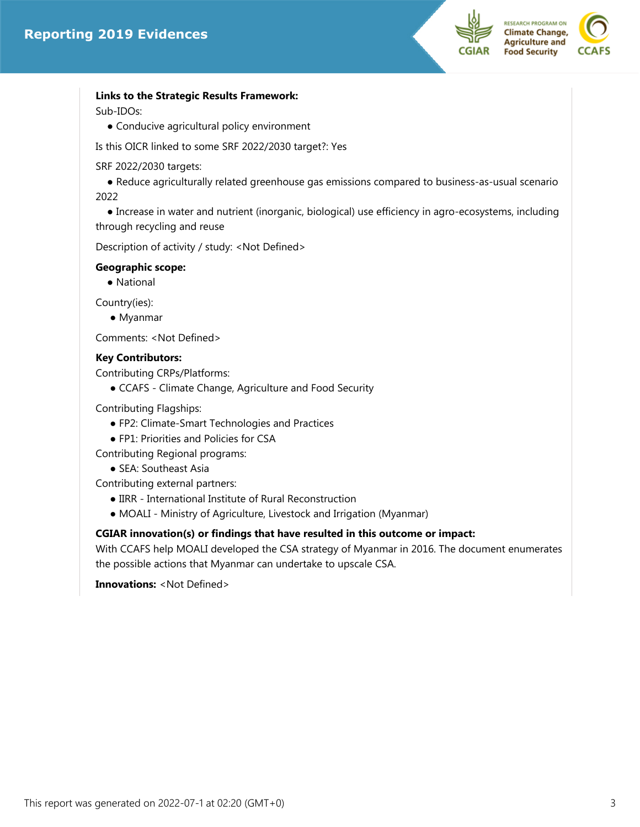



# **Links to the Strategic Results Framework:**

Sub-IDOs:

● Conducive agricultural policy environment

Is this OICR linked to some SRF 2022/2030 target?: Yes

SRF 2022/2030 targets:

 ● Reduce agriculturally related greenhouse gas emissions compared to business-as-usual scenario 2022

 ● Increase in water and nutrient (inorganic, biological) use efficiency in agro-ecosystems, including through recycling and reuse

Description of activity / study: <Not Defined>

# **Geographic scope:**

● National

Country(ies):

● Myanmar

Comments: <Not Defined>

#### **Key Contributors:**

Contributing CRPs/Platforms:

● CCAFS - Climate Change, Agriculture and Food Security

Contributing Flagships:

- FP2: Climate-Smart Technologies and Practices
- FP1: Priorities and Policies for CSA

Contributing Regional programs:

● SEA: Southeast Asia

Contributing external partners:

- IIRR International Institute of Rural Reconstruction
- MOALI Ministry of Agriculture, Livestock and Irrigation (Myanmar)

# **CGIAR innovation(s) or findings that have resulted in this outcome or impact:**

With CCAFS help MOALI developed the CSA strategy of Myanmar in 2016. The document enumerates the possible actions that Myanmar can undertake to upscale CSA.

**Innovations:** <Not Defined>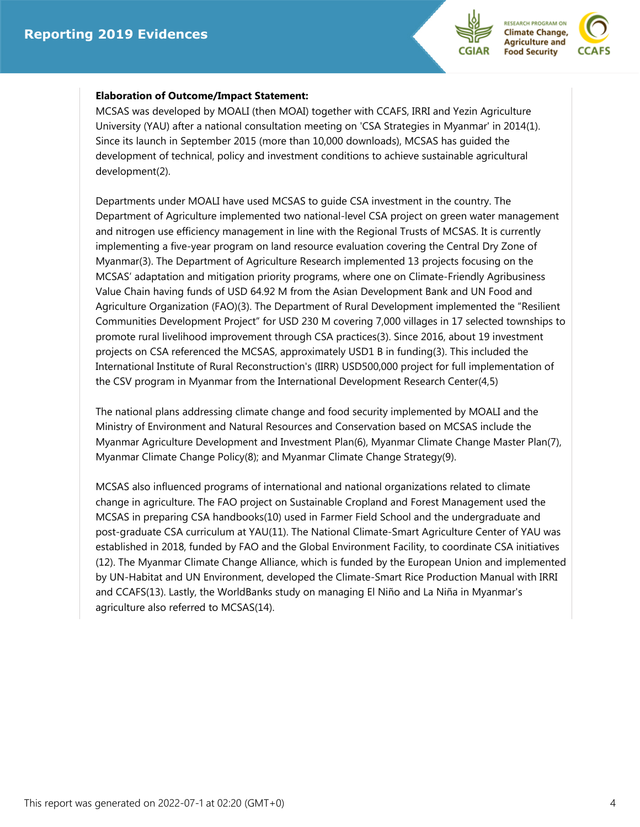



### **Elaboration of Outcome/Impact Statement:**

MCSAS was developed by MOALI (then MOAI) together with CCAFS, IRRI and Yezin Agriculture University (YAU) after a national consultation meeting on 'CSA Strategies in Myanmar' in 2014(1). Since its launch in September 2015 (more than 10,000 downloads), MCSAS has guided the development of technical, policy and investment conditions to achieve sustainable agricultural development(2).

Departments under MOALI have used MCSAS to guide CSA investment in the country. The Department of Agriculture implemented two national-level CSA project on green water management and nitrogen use efficiency management in line with the Regional Trusts of MCSAS. It is currently implementing a five-year program on land resource evaluation covering the Central Dry Zone of Myanmar(3). The Department of Agriculture Research implemented 13 projects focusing on the MCSAS' adaptation and mitigation priority programs, where one on Climate-Friendly Agribusiness Value Chain having funds of USD 64.92 M from the Asian Development Bank and UN Food and Agriculture Organization (FAO)(3). The Department of Rural Development implemented the "Resilient Communities Development Project" for USD 230 M covering 7,000 villages in 17 selected townships to promote rural livelihood improvement through CSA practices(3). Since 2016, about 19 investment projects on CSA referenced the MCSAS, approximately USD1 B in funding(3). This included the International Institute of Rural Reconstruction's (IIRR) USD500,000 project for full implementation of the CSV program in Myanmar from the International Development Research Center(4,5)

The national plans addressing climate change and food security implemented by MOALI and the Ministry of Environment and Natural Resources and Conservation based on MCSAS include the Myanmar Agriculture Development and Investment Plan(6), Myanmar Climate Change Master Plan(7), Myanmar Climate Change Policy(8); and Myanmar Climate Change Strategy(9).

MCSAS also influenced programs of international and national organizations related to climate change in agriculture. The FAO project on Sustainable Cropland and Forest Management used the MCSAS in preparing CSA handbooks(10) used in Farmer Field School and the undergraduate and post-graduate CSA curriculum at YAU(11). The National Climate-Smart Agriculture Center of YAU was established in 2018, funded by FAO and the Global Environment Facility, to coordinate CSA initiatives (12). The Myanmar Climate Change Alliance, which is funded by the European Union and implemented by UN-Habitat and UN Environment, developed the Climate-Smart Rice Production Manual with IRRI and CCAFS(13). Lastly, the WorldBanks study on managing El Niño and La Niña in Myanmar's agriculture also referred to MCSAS(14).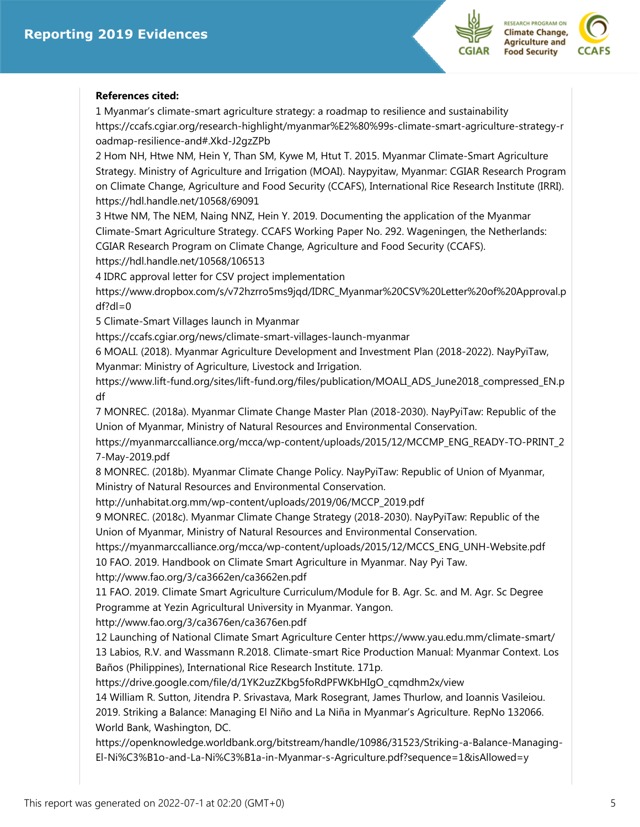

# **References cited:**

1 Myanmar's climate-smart agriculture strategy: a roadmap to resilience and sustainability https://ccafs.cgiar.org/research-highlight/myanmar%E2%80%99s-climate-smart-agriculture-strategy-r oadmap-resilience-and#.Xkd-J2gzZPb

2 Hom NH, Htwe NM, Hein Y, Than SM, Kywe M, Htut T. 2015. Myanmar Climate-Smart Agriculture Strategy. Ministry of Agriculture and Irrigation (MOAI). Naypyitaw, Myanmar: CGIAR Research Program on Climate Change, Agriculture and Food Security (CCAFS), International Rice Research Institute (IRRI). https://hdl.handle.net/10568/69091

3 Htwe NM, The NEM, Naing NNZ, Hein Y. 2019. Documenting the application of the Myanmar Climate-Smart Agriculture Strategy. CCAFS Working Paper No. 292. Wageningen, the Netherlands: CGIAR Research Program on Climate Change, Agriculture and Food Security (CCAFS). https://hdl.handle.net/10568/106513

4 IDRC approval letter for CSV project implementation

https://www.dropbox.com/s/v72hzrro5ms9jqd/IDRC\_Myanmar%20CSV%20Letter%20of%20Approval.p  $df?dl=0$ 

5 Climate-Smart Villages launch in Myanmar

https://ccafs.cgiar.org/news/climate-smart-villages-launch-myanmar

6 MOALI. (2018). Myanmar Agriculture Development and Investment Plan (2018-2022). NayPyiTaw, Myanmar: Ministry of Agriculture, Livestock and Irrigation.

https://www.lift-fund.org/sites/lift-fund.org/files/publication/MOALI\_ADS\_June2018\_compressed\_EN.p df

7 MONREC. (2018a). Myanmar Climate Change Master Plan (2018-2030). NayPyiTaw: Republic of the Union of Myanmar, Ministry of Natural Resources and Environmental Conservation.

https://myanmarccalliance.org/mcca/wp-content/uploads/2015/12/MCCMP\_ENG\_READY-TO-PRINT\_2 7-May-2019.pdf

8 MONREC. (2018b). Myanmar Climate Change Policy. NayPyiTaw: Republic of Union of Myanmar, Ministry of Natural Resources and Environmental Conservation.

http://unhabitat.org.mm/wp-content/uploads/2019/06/MCCP\_2019.pdf

9 MONREC. (2018c). Myanmar Climate Change Strategy (2018-2030). NayPyiTaw: Republic of the Union of Myanmar, Ministry of Natural Resources and Environmental Conservation.

https://myanmarccalliance.org/mcca/wp-content/uploads/2015/12/MCCS\_ENG\_UNH-Website.pdf 10 FAO. 2019. Handbook on Climate Smart Agriculture in Myanmar. Nay Pyi Taw.

http://www.fao.org/3/ca3662en/ca3662en.pdf

11 FAO. 2019. Climate Smart Agriculture Curriculum/Module for B. Agr. Sc. and M. Agr. Sc Degree Programme at Yezin Agricultural University in Myanmar. Yangon.

http://www.fao.org/3/ca3676en/ca3676en.pdf

12 Launching of National Climate Smart Agriculture Center https://www.yau.edu.mm/climate-smart/ 13 Labios, R.V. and Wassmann R.2018. Climate-smart Rice Production Manual: Myanmar Context. Los Baños (Philippines), International Rice Research Institute. 171p.

https://drive.google.com/file/d/1YK2uzZKbg5foRdPFWKbHIgO\_cqmdhm2x/view

14 William R. Sutton, Jitendra P. Srivastava, Mark Rosegrant, James Thurlow, and Ioannis Vasileiou. 2019. Striking a Balance: Managing El Niño and La Niña in Myanmar's Agriculture. RepNo 132066. World Bank, Washington, DC.

https://openknowledge.worldbank.org/bitstream/handle/10986/31523/Striking-a-Balance-Managing-El-Ni%C3%B1o-and-La-Ni%C3%B1a-in-Myanmar-s-Agriculture.pdf?sequence=1&isAllowed=y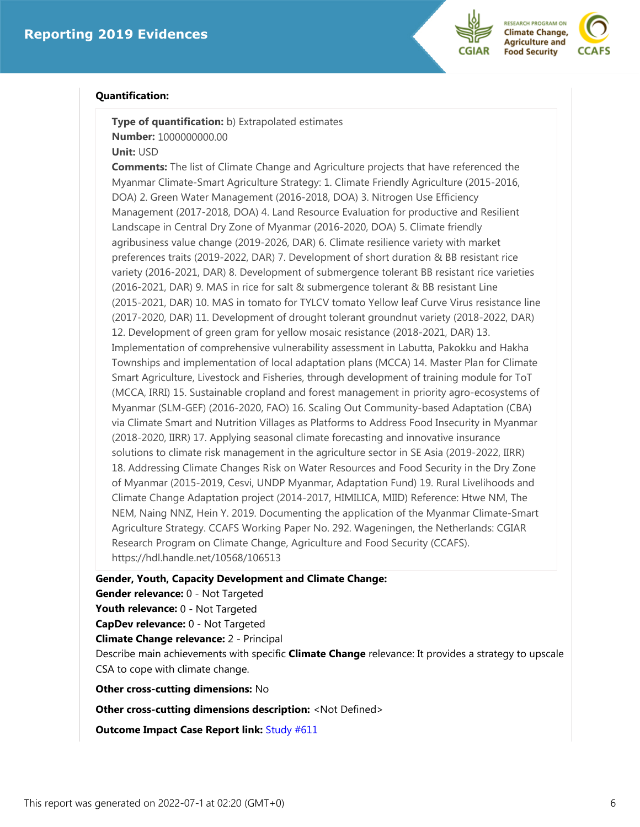



#### **Quantification:**

**Type of quantification:** b) Extrapolated estimates **Number:** 1000000000.00

**Unit:** USD

**Comments:** The list of Climate Change and Agriculture projects that have referenced the Myanmar Climate-Smart Agriculture Strategy: 1. Climate Friendly Agriculture (2015-2016, DOA) 2. Green Water Management (2016-2018, DOA) 3. Nitrogen Use Efficiency Management (2017-2018, DOA) 4. Land Resource Evaluation for productive and Resilient Landscape in Central Dry Zone of Myanmar (2016-2020, DOA) 5. Climate friendly agribusiness value change (2019-2026, DAR) 6. Climate resilience variety with market preferences traits (2019-2022, DAR) 7. Development of short duration & BB resistant rice variety (2016-2021, DAR) 8. Development of submergence tolerant BB resistant rice varieties (2016-2021, DAR) 9. MAS in rice for salt & submergence tolerant & BB resistant Line (2015-2021, DAR) 10. MAS in tomato for TYLCV tomato Yellow leaf Curve Virus resistance line (2017-2020, DAR) 11. Development of drought tolerant groundnut variety (2018-2022, DAR) 12. Development of green gram for yellow mosaic resistance (2018-2021, DAR) 13. Implementation of comprehensive vulnerability assessment in Labutta, Pakokku and Hakha Townships and implementation of local adaptation plans (MCCA) 14. Master Plan for Climate Smart Agriculture, Livestock and Fisheries, through development of training module for ToT (MCCA, IRRI) 15. Sustainable cropland and forest management in priority agro-ecosystems of Myanmar (SLM-GEF) (2016-2020, FAO) 16. Scaling Out Community-based Adaptation (CBA) via Climate Smart and Nutrition Villages as Platforms to Address Food Insecurity in Myanmar (2018-2020, IIRR) 17. Applying seasonal climate forecasting and innovative insurance solutions to climate risk management in the agriculture sector in SE Asia (2019-2022, IIRR) 18. Addressing Climate Changes Risk on Water Resources and Food Security in the Dry Zone of Myanmar (2015-2019, Cesvi, UNDP Myanmar, Adaptation Fund) 19. Rural Livelihoods and Climate Change Adaptation project (2014-2017, HIMILICA, MIID) Reference: Htwe NM, The NEM, Naing NNZ, Hein Y. 2019. Documenting the application of the Myanmar Climate-Smart Agriculture Strategy. CCAFS Working Paper No. 292. Wageningen, the Netherlands: CGIAR Research Program on Climate Change, Agriculture and Food Security (CCAFS). https://hdl.handle.net/10568/106513

**Gender, Youth, Capacity Development and Climate Change:**

**Gender relevance:** 0 - Not Targeted

**Youth relevance:** 0 - Not Targeted

**CapDev relevance:** 0 - Not Targeted

**Climate Change relevance:** 2 - Principal

Describe main achievements with specific **Climate Change** relevance: It provides a strategy to upscale CSA to cope with climate change.

**Other cross-cutting dimensions:** No

**Other cross-cutting dimensions description:** <Not Defined>

**[Outcome](https://marlo.cgiar.org/projects/CCAFS/studySummary.do?studyID=611&cycle=Reporting&year=2019) Impact Case Report link:** Study #611